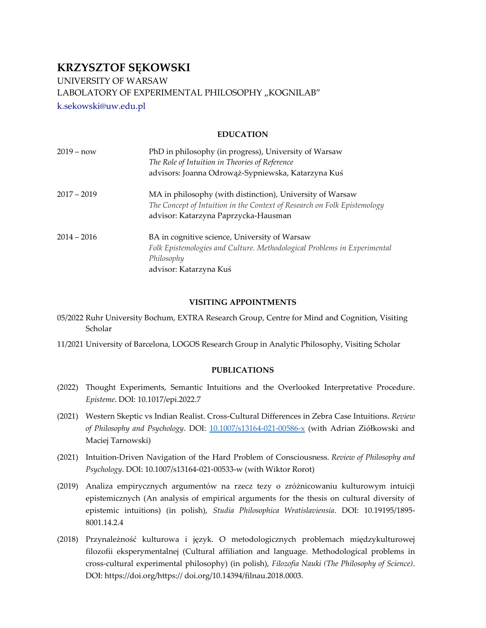# **KRZYSZTOF SĘKOWSKI**

UNIVERSITY OF WARSAW

LABOLATORY OF EXPERIMENTAL PHILOSOPHY "KOGNILAB"

[k.sekowski@uw.edu.pl](mailto:k.sekowski@uw.edu.pl)

# **EDUCATION**

| $2019 - now$  | PhD in philosophy (in progress), University of Warsaw                    |
|---------------|--------------------------------------------------------------------------|
|               | The Role of Intuition in Theories of Reference                           |
|               | advisors: Joanna Odrowąż-Sypniewska, Katarzyna Kuś                       |
| $2017 - 2019$ | MA in philosophy (with distinction), University of Warsaw                |
|               | The Concept of Intuition in the Context of Research on Folk Epistemology |
|               | advisor: Katarzyna Paprzycka-Hausman                                     |
| $2014 - 2016$ | BA in cognitive science, University of Warsaw                            |
|               | Folk Epistemologies and Culture. Methodological Problems in Experimental |
|               | Philosophy                                                               |
|               | advisor: Katarzyna Kuś                                                   |

# **VISITING APPOINTMENTS**

- 05/2022 Ruhr University Bochum, EXTRA Research Group, Centre for Mind and Cognition, Visiting Scholar
- 11/2021 University of Barcelona, LOGOS Research Group in Analytic Philosophy, Visiting Scholar

# **PUBLICATIONS**

- (2022) Thought Experiments, Semantic Intuitions and the Overlooked Interpretative Procedure. *Episteme*. DOI: 10.1017/epi.2022.7
- (2021) Western Skeptic vs Indian Realist. Cross-Cultural Differences in Zebra Case Intuitions. *Review of Philosophy and Psychology*. DOI: [10.1007/s13164-021-00586-x](https://doi.org/10.1007/s13164-021-00586-x) (with Adrian Ziółkowski and Maciej Tarnowski)
- (2021) Intuition-Driven Navigation of the Hard Problem of Consciousness. *Review of Philosophy and Psychology*. DOI: 10.1007/s13164-021-00533-w (with Wiktor Rorot)
- (2019) Analiza empirycznych argumentów na rzecz tezy o zróżnicowaniu kulturowym intuicji epistemicznych (An analysis of empirical arguments for the thesis on cultural diversity of epistemic intuitions) (in polish), *Studia Philosophica Wratislaviensia*. DOI: 10.19195/1895- 8001.14.2.4
- (2018) Przynależność kulturowa i język. O metodologicznych problemach międzykulturowej filozofii eksperymentalnej (Cultural affiliation and language. Methodological problems in cross-cultural experimental philosophy) (in polish), *Filozofia Nauki (The Philosophy of Science)*. DOI: https://doi.org/https:// doi.org/10.14394/filnau.2018.0003.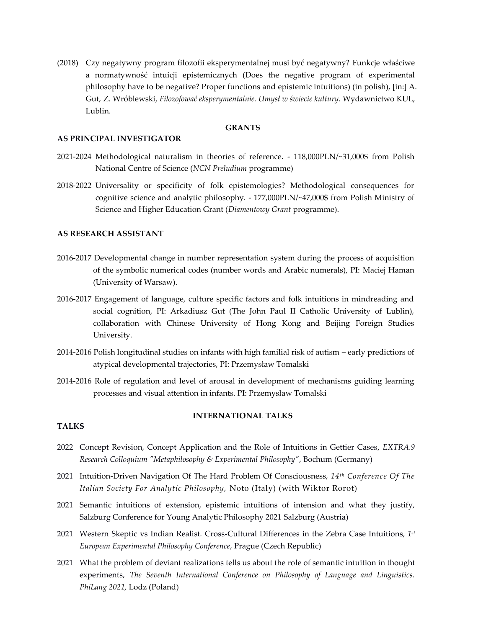(2018) Czy negatywny program filozofii eksperymentalnej musi być negatywny? Funkcje właściwe a normatywność intuicji epistemicznych (Does the negative program of experimental philosophy have to be negative? Proper functions and epistemic intuitions) (in polish), [in:] A. Gut, Z. Wróblewski, *Filozofować eksperymentalnie. Umysł w świecie kultury.* Wydawnictwo KUL, Lublin.

### **GRANTS**

### **AS PRINCIPAL INVESTIGATOR**

- 2021-2024 Methodological naturalism in theories of reference. 118,000PLN/~31,000\$ from Polish National Centre of Science (*NCN Preludium* programme)
- 2018-2022 Universality or specificity of folk epistemologies? Methodological consequences for cognitive science and analytic philosophy. - 177,000PLN/~47,000\$ from Polish Ministry of Science and Higher Education Grant (*Diamentowy Grant* programme).

### **AS RESEARCH ASSISTANT**

- 2016-2017 Developmental change in number representation system during the process of acquisition of the symbolic numerical codes (number words and Arabic numerals), PI: Maciej Haman (University of Warsaw).
- 2016-2017 Engagement of language, culture specific factors and folk intuitions in mindreading and social cognition, PI: Arkadiusz Gut (The John Paul II Catholic University of Lublin), collaboration with Chinese University of Hong Kong and Beijing Foreign Studies University.
- 2014-2016 Polish longitudinal studies on infants with high familial risk of autism early predictiors of atypical developmental trajectories, PI: Przemysław Tomalski
- 2014-2016 Role of regulation and level of arousal in development of mechanisms guiding learning processes and visual attention in infants. PI: Przemysław Tomalski

### **INTERNATIONAL TALKS**

#### **TALKS**

- 2022 Concept Revision, Concept Application and the Role of Intuitions in Gettier Cases, *EXTRA.9 Research Colloquium "Metaphilosophy & Experimental Philosophy"*, Bochum (Germany)
- 2021 Intuition-Driven Navigation Of The Hard Problem Of Consciousness, *14th Conference Of The Italian Society For Analytic Philosophy,* Noto (Italy) (with Wiktor Rorot)
- 2021 Semantic intuitions of extension, epistemic intuitions of intension and what they justify, Salzburg Conference for Young Analytic Philosophy 2021 Salzburg (Austria)
- 2021 Western Skeptic vs Indian Realist. Cross-Cultural Differences in the Zebra Case Intuitions*, 1st European Experimental Philosophy Conference*, Prague (Czech Republic)
- 2021 What the problem of deviant realizations tells us about the role of semantic intuition in thought experiments, *The Seventh International Conference on Philosophy of Language and Linguistics. PhiLang 2021,* Lodz (Poland)